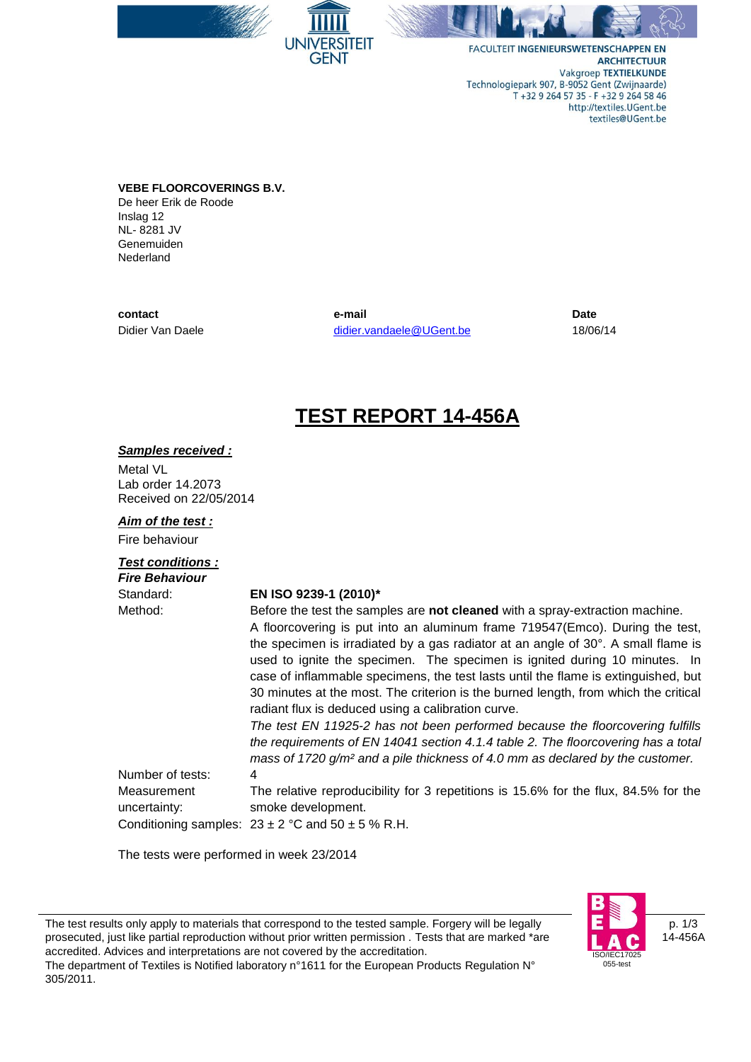

FACULTEIT INGENIEURSWETENSCHAPPEN EN **ARCHITECTUUR** Vakgroep TEXTIELKUNDE Technologiepark 907, B-9052 Gent (Zwijnaarde) T +32 9 264 57 35 - F +32 9 264 58 46 http://textiles.UGent.be textiles@UGent.be

**VEBE FLOORCOVERINGS B.V.** De heer Erik de Roode Inslag 12 NL- 8281 JV Genemuiden Nederland

**contact** Didier Van Daele

**e-mail** [didier.vandaele@UGent.be](mailto:didier.vandaele@UGent.be)

ΈIΤ

GFNT

**Date** 18/06/14

## **TEST REPORT 14-456A**

#### *Samples received :*

Metal VL Lab order 14.2073 Received on 22/05/2014

#### *Aim of the test :*

Fire behaviour

#### *Test conditions :*

| <b>Fire Behaviour</b> |                                                                                           |
|-----------------------|-------------------------------------------------------------------------------------------|
| Standard:             | EN ISO 9239-1 (2010)*                                                                     |
| Method:               | Before the test the samples are not cleaned with a spray-extraction machine.              |
|                       | A floorcovering is put into an aluminum frame 719547(Emco). During the test,              |
|                       | the specimen is irradiated by a gas radiator at an angle of 30°. A small flame is         |
|                       | used to ignite the specimen. The specimen is ignited during 10 minutes. In                |
|                       | case of inflammable specimens, the test lasts until the flame is extinguished, but        |
|                       | 30 minutes at the most. The criterion is the burned length, from which the critical       |
|                       | radiant flux is deduced using a calibration curve.                                        |
|                       | The test EN 11925-2 has not been performed because the floorcovering fulfills             |
|                       | the requirements of EN 14041 section 4.1.4 table 2. The floorcovering has a total         |
|                       | mass of 1720 g/m <sup>2</sup> and a pile thickness of 4.0 mm as declared by the customer. |
| Number of tests:      | 4                                                                                         |
| Measurement           | The relative reproducibility for 3 repetitions is 15.6% for the flux, 84.5% for the       |
| uncertainty:          | smoke development.                                                                        |
|                       | Conditioning samples: $23 \pm 2$ °C and $50 \pm 5$ % R.H.                                 |

The tests were performed in week 23/2014

p. 1/3 14-456A 1702F 055-test

The test results only apply to materials that correspond to the tested sample. Forgery will be legally prosecuted, just like partial reproduction without prior written permission . Tests that are marked \*are accredited. Advices and interpretations are not covered by the accreditation. The department of Textiles is Notified laboratory n°1611 for the European Products Regulation N° 305/2011.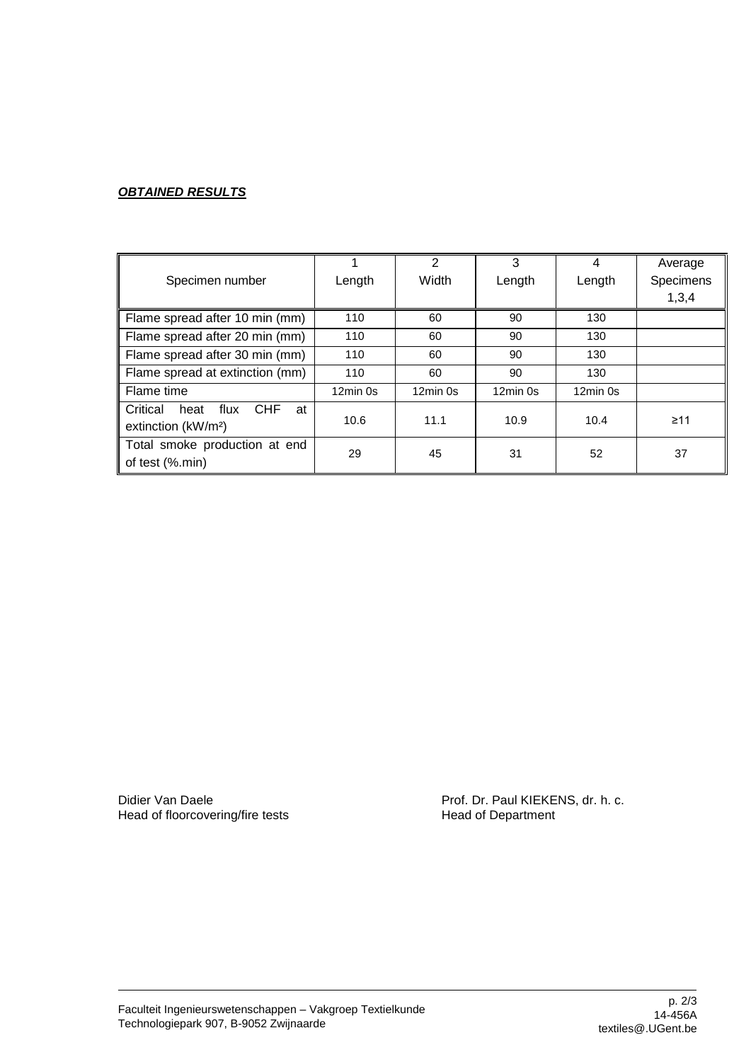### *OBTAINED RESULTS*

|                                              |            | $\mathcal{P}$ | 3          | 4          | Average   |
|----------------------------------------------|------------|---------------|------------|------------|-----------|
| Specimen number                              | Length     | Width         | Length     | Length     | Specimens |
|                                              |            |               |            |            | 1,3,4     |
| Flame spread after 10 min (mm)               | 110        | 60            | 90         | 130        |           |
| Flame spread after 20 min (mm)               | 110        | 60            | 90         | 130        |           |
| Flame spread after 30 min (mm)               | 110        | 60            | 90         | 130        |           |
| Flame spread at extinction (mm)              | 110        | 60            | 90         | 130        |           |
| Flame time                                   | $12min$ 0s | 12min 0s      | $12min$ 0s | $12min$ 0s |           |
| <b>CHF</b><br>Critical<br>flux<br>heat<br>at |            |               |            |            |           |
| extinction (kW/m <sup>2</sup> )              | 10.6       | 11.1          | 10.9       | 10.4       | $\geq 11$ |
| Total smoke production at end                | 29         | 45            | 31         | 52         | 37        |
| of test (%.min)                              |            |               |            |            |           |

Head of floorcovering/fire tests

Didier Van Daele **Prof. Dr. Paul KIEKENS, dr. h. c.**<br>
Head of floorcovering/fire tests **Profession Read of Department**